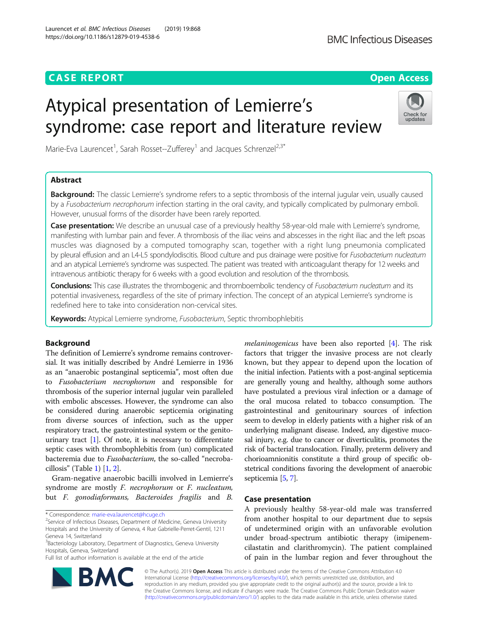# **CASE REPORT CASE REPORT CASE REPORT**

# Atypical presentation of Lemierre's syndrome: case report and literature review

Marie-Eva Laurencet<sup>1</sup>, Sarah Rosset--Zufferey<sup>1</sup> and Jacques Schrenzel<sup>2,3\*</sup>

# Abstract

Background: The classic Lemierre's syndrome refers to a septic thrombosis of the internal jugular vein, usually caused by a Fusobacterium necrophorum infection starting in the oral cavity, and typically complicated by pulmonary emboli. However, unusual forms of the disorder have been rarely reported.

Case presentation: We describe an unusual case of a previously healthy 58-year-old male with Lemierre's syndrome, manifesting with lumbar pain and fever. A thrombosis of the iliac veins and abscesses in the right iliac and the left psoas muscles was diagnosed by a computed tomography scan, together with a right lung pneumonia complicated by pleural effusion and an L4-L5 spondylodiscitis. Blood culture and pus drainage were positive for Fusobacterium nucleatum and an atypical Lemierre's syndrome was suspected. The patient was treated with anticoagulant therapy for 12 weeks and intravenous antibiotic therapy for 6 weeks with a good evolution and resolution of the thrombosis.

Conclusions: This case illustrates the thrombogenic and thromboembolic tendency of Fusobacterium nucleatum and its potential invasiveness, regardless of the site of primary infection. The concept of an atypical Lemierre's syndrome is redefined here to take into consideration non-cervical sites.

Keywords: Atypical Lemierre syndrome, Fusobacterium, Septic thrombophlebitis

# Background

The definition of Lemierre's syndrome remains controversial. It was initially described by André Lemierre in 1936 as an "anaerobic postanginal septicemia", most often due to Fusobacterium necrophorum and responsible for thrombosis of the superior internal jugular vein paralleled with embolic abscesses. However, the syndrome can also be considered during anaerobic septicemia originating from diverse sources of infection, such as the upper respiratory tract, the gastrointestinal system or the genitourinary tract  $[1]$  $[1]$ . Of note, it is necessary to differentiate septic cases with thrombophlebitis from (un) complicated bacteremia due to Fusobacterium, the so-called "necrobacillosis" (Table [1\)](#page-1-0) [\[1](#page-3-0), [2\]](#page-3-0).

Gram-negative anaerobic bacilli involved in Lemierre's syndrome are mostly F. necrophorum or F. nucleatum, but F. gonodiaformans, Bacteroides fragilis and B.

\* Correspondence: [marie-eva.laurencet@hcuge.ch](mailto:marie-eva.laurencet@hcuge.ch) <sup>2</sup>

Full list of author information is available at the end of the article

© The Author(s). 2019 Open Access This article is distributed under the terms of the Creative Commons Attribution 4.0 International License [\(http://creativecommons.org/licenses/by/4.0/](http://creativecommons.org/licenses/by/4.0/)), which permits unrestricted use, distribution, and reproduction in any medium, provided you give appropriate credit to the original author(s) and the source, provide a link to the Creative Commons license, and indicate if changes were made. The Creative Commons Public Domain Dedication waiver [\(http://creativecommons.org/publicdomain/zero/1.0/](http://creativecommons.org/publicdomain/zero/1.0/)) applies to the data made available in this article, unless otherwise stated.

melaninogenicus have been also reported [[4](#page-3-0)]. The risk factors that trigger the invasive process are not clearly known, but they appear to depend upon the location of the initial infection. Patients with a post-anginal septicemia are generally young and healthy, although some authors have postulated a previous viral infection or a damage of the oral mucosa related to tobacco consumption. The gastrointestinal and genitourinary sources of infection seem to develop in elderly patients with a higher risk of an underlying malignant disease. Indeed, any digestive mucosal injury, e.g. due to cancer or diverticulitis, promotes the risk of bacterial translocation. Finally, preterm delivery and chorioamnionitis constitute a third group of specific obstetrical conditions favoring the development of anaerobic septicemia [\[5,](#page-3-0) [7](#page-3-0)].

# Case presentation

A previously healthy 58-year-old male was transferred from another hospital to our department due to sepsis of undetermined origin with an unfavorable evolution under broad-spectrum antibiotic therapy (imipenemcilastatin and clarithromycin). The patient complained of pain in the lumbar region and fever throughout the





<sup>&</sup>lt;sup>2</sup> Service of Infectious Diseases, Department of Medicine, Geneva University Hospitals and the University of Geneva, 4 Rue Gabrielle-Perret-Gentil, 1211 Geneva 14, Switzerland

<sup>&</sup>lt;sup>3</sup>Bacteriology Laboratory, Department of Diagnostics, Geneva University Hospitals, Geneva, Switzerland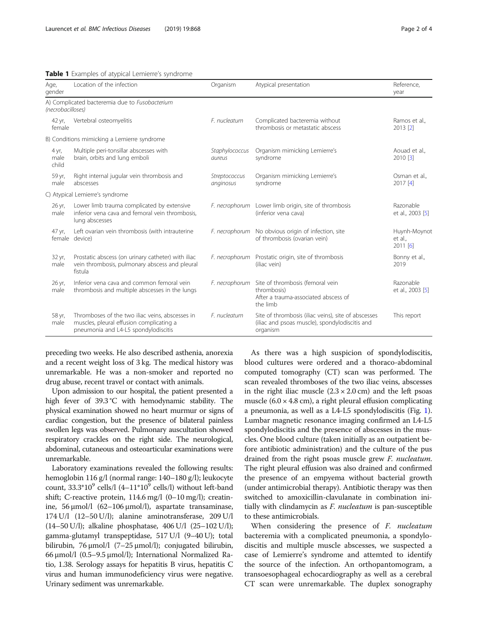<span id="page-1-0"></span>

|  |  | Table 1 Examples of atypical Lemierre's syndrome |  |  |
|--|--|--------------------------------------------------|--|--|
|--|--|--------------------------------------------------|--|--|

| Age,<br>gender         | Location of the infection                                                                                                           | Organism                   | Atypical presentation                                                                                             | Reference,<br>year                    |
|------------------------|-------------------------------------------------------------------------------------------------------------------------------------|----------------------------|-------------------------------------------------------------------------------------------------------------------|---------------------------------------|
| (necrobacilloses)      | A) Complicated bacteremia due to Fusobacterium                                                                                      |                            |                                                                                                                   |                                       |
| 42 yr,<br>female       | Vertebral osteomyelitis                                                                                                             | F. nucleatum               | Complicated bacteremia without<br>thrombosis or metastatic abscess                                                | Ramos et al.,<br>2013 [2]             |
|                        | B) Conditions mimicking a Lemierre syndrome                                                                                         |                            |                                                                                                                   |                                       |
| 4 yr,<br>male<br>child | Multiple peri-tonsillar abscesses with<br>brain, orbits and lung emboli                                                             | Staphylococcus<br>aureus   | Organism mimicking Lemierre's<br>syndrome                                                                         | Aouad et al.,<br>2010 [3]             |
| 59 yr,<br>male         | Right internal jugular vein thrombosis and<br>abscesses                                                                             | Streptococcus<br>anginosus | Organism mimicking Lemierre's<br>syndrome                                                                         | Osman et al.,<br>2017 [4]             |
|                        | C) Atypical Lemierre's syndrome                                                                                                     |                            |                                                                                                                   |                                       |
| 26 yr,<br>male         | Lower limb trauma complicated by extensive<br>inferior vena cava and femoral vein thrombosis,<br>lung abscesses                     |                            | F. necrophorum Lower limb origin, site of thrombosis<br>(inferior vena cava)                                      | Razonable<br>et al., 2003 [5]         |
| 47 yr,                 | Left ovarian vein thrombosis (with intrauterine<br>female device)                                                                   | F. necrophorum             | No obvious origin of infection, site<br>of thrombosis (ovarian vein)                                              | Huynh-Moynot<br>et al.,<br>$2011$ [6] |
| 32 yr,<br>male         | Prostatic abscess (on urinary catheter) with iliac<br>vein thrombosis, pulmonary abscess and pleural<br>fistula                     | F. necrophorum             | Prostatic origin, site of thrombosis<br>(iliac vein)                                                              | Bonny et al.,<br>2019                 |
| 26 yr,<br>male         | Inferior vena cava and common femoral vein<br>thrombosis and multiple abscesses in the lungs                                        | F. necrophorum             | Site of thrombosis (femoral vein<br>thrombosis)<br>After a trauma-associated abscess of<br>the limb               | Razonable<br>et al., 2003 [5]         |
| 58 yr,<br>male         | Thromboses of the two iliac veins, abscesses in<br>muscles, pleural effusion complicating a<br>pneumonia and L4-L5 spondylodiscitis | F. nucleatum               | Site of thrombosis (iliac veins), site of abscesses<br>(iliac and psoas muscle), spondylodiscitis and<br>organism | This report                           |

preceding two weeks. He also described asthenia, anorexia and a recent weight loss of 3 kg. The medical history was unremarkable. He was a non-smoker and reported no drug abuse, recent travel or contact with animals.

Upon admission to our hospital, the patient presented a high fever of 39.3 °C with hemodynamic stability. The physical examination showed no heart murmur or signs of cardiac congestion, but the presence of bilateral painless swollen legs was observed. Pulmonary auscultation showed respiratory crackles on the right side. The neurological, abdominal, cutaneous and osteoarticular examinations were unremarkable.

Laboratory examinations revealed the following results: hemoglobin 116 g/l (normal range: 140–180 g/l); leukocyte count,  $33.3^*10^9$  cells/l  $(4-11^*10^9$  cells/l) without left-band shift; C-reactive protein, 114.6 mg/l (0–10 mg/l); creatinine, 56 μmol/l (62–106 μmol/l), aspartate transaminase, 174 U/l (12–50 U/l); alanine aminotransferase, 209 U/l (14–50 U/l); alkaline phosphatase, 406 U/l (25–102 U/l); gamma-glutamyl transpeptidase, 517 U/l (9–40 U); total bilirubin, 76 μmol/l (7–25 μmol/l); conjugated bilirubin, 66 μmol/l (0.5–9.5 μmol/l); International Normalized Ratio, 1.38. Serology assays for hepatitis B virus, hepatitis C virus and human immunodeficiency virus were negative. Urinary sediment was unremarkable.

As there was a high suspicion of spondylodiscitis, blood cultures were ordered and a thoraco-abdominal computed tomography (CT) scan was performed. The scan revealed thromboses of the two iliac veins, abscesses in the right iliac muscle  $(2.3 \times 2.0 \text{ cm})$  and the left psoas muscle  $(6.0 \times 4.8 \text{ cm})$ , a right pleural effusion complicating a pneumonia, as well as a L4-L5 spondylodiscitis (Fig. [1](#page-2-0)). Lumbar magnetic resonance imaging confirmed an L4-L5 spondylodiscitis and the presence of abscesses in the muscles. One blood culture (taken initially as an outpatient before antibiotic administration) and the culture of the pus drained from the right psoas muscle grew F. nucleatum. The right pleural effusion was also drained and confirmed the presence of an empyema without bacterial growth (under antimicrobial therapy). Antibiotic therapy was then switched to amoxicillin-clavulanate in combination initially with clindamycin as F. nucleatum is pan-susceptible to these antimicrobials.

When considering the presence of *F. nucleatum* bacteremia with a complicated pneumonia, a spondylodiscitis and multiple muscle abscesses, we suspected a case of Lemierre's syndrome and attemted to identify the source of the infection. An orthopantomogram, a transoesophageal echocardiography as well as a cerebral CT scan were unremarkable. The duplex sonography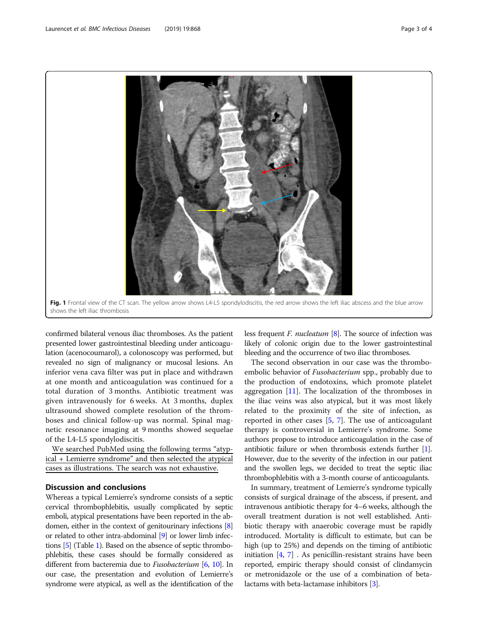<span id="page-2-0"></span>

confirmed bilateral venous iliac thromboses. As the patient presented lower gastrointestinal bleeding under anticoagulation (acenocoumarol), a colonoscopy was performed, but revealed no sign of malignancy or mucosal lesions. An inferior vena cava filter was put in place and withdrawn at one month and anticoagulation was continued for a total duration of 3 months. Antibiotic treatment was given intravenously for 6 weeks. At 3 months, duplex ultrasound showed complete resolution of the thromboses and clinical follow-up was normal. Spinal magnetic resonance imaging at 9 months showed sequelae of the L4-L5 spondylodiscitis.

We searched PubMed using the following terms "atypical + Lemierre syndrome" and then selected the atypical cases as illustrations. The search was not exhaustive.

## Discussion and conclusions

Whereas a typical Lemierre's syndrome consists of a septic cervical thrombophlebitis, usually complicated by septic emboli, atypical presentations have been reported in the abdomen, either in the context of genitourinary infections [[8](#page-3-0)] or related to other intra-abdominal [\[9\]](#page-3-0) or lower limb infections [\[5](#page-3-0)] (Table [1\)](#page-1-0). Based on the absence of septic thrombophlebitis, these cases should be formally considered as different from bacteremia due to *Fusobacterium* [\[6](#page-3-0), [10\]](#page-3-0). In our case, the presentation and evolution of Lemierre's syndrome were atypical, as well as the identification of the

less frequent *F. nucleatum* [[8](#page-3-0)]. The source of infection was likely of colonic origin due to the lower gastrointestinal bleeding and the occurrence of two iliac thromboses.

The second observation in our case was the thromboembolic behavior of *Fusobacterium* spp., probably due to the production of endotoxins, which promote platelet aggregation  $[11]$  $[11]$ . The localization of the thromboses in the iliac veins was also atypical, but it was most likely related to the proximity of the site of infection, as reported in other cases [[5,](#page-3-0) [7\]](#page-3-0). The use of anticoagulant therapy is controversial in Lemierre's syndrome. Some authors propose to introduce anticoagulation in the case of antibiotic failure or when thrombosis extends further [\[1](#page-3-0)]. However, due to the severity of the infection in our patient and the swollen legs, we decided to treat the septic iliac thrombophlebitis with a 3-month course of anticoagulants.

In summary, treatment of Lemierre's syndrome typically consists of surgical drainage of the abscess, if present, and intravenous antibiotic therapy for 4–6 weeks, although the overall treatment duration is not well established. Antibiotic therapy with anaerobic coverage must be rapidly introduced. Mortality is difficult to estimate, but can be high (up to 25%) and depends on the timing of antibiotic initiation [[4](#page-3-0), [7](#page-3-0)] . As penicillin-resistant strains have been reported, empiric therapy should consist of clindamycin or metronidazole or the use of a combination of betalactams with beta-lactamase inhibitors [[3](#page-3-0)].